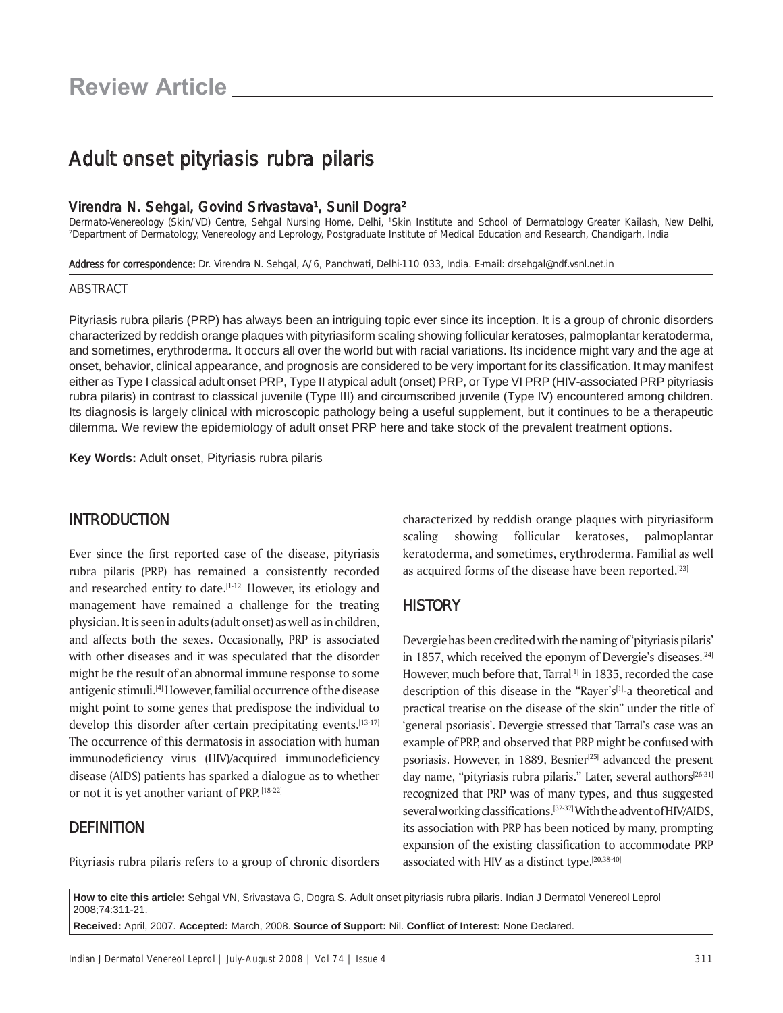# Adult onset pityriasis rubra pilaris

#### Virendra N. Sehgal, Govind Srivastava<sup>1</sup>, Sunil Dogra<sup>2</sup>

Dermato-Venereology (Skin/VD) Centre, Sehgal Nursing Home, Delhi, 1Skin Institute and School of Dermatology Greater Kailash, New Delhi, 2Department of Dermatology, Venereology and Leprology, Postgraduate Institute of Medic

Address for correspondence: Dr. Virendra N. Sehgal, A/6, Panchwati, Delhi-110 033, India. E-mail: drsehgal@ndf.vsnl.net.in

#### ABSTRACT

Pityriasis rubra pilaris (PRP) has always been an intriguing topic ever since its inception. It is a group of chronic disorders characterized by reddish orange plaques with pityriasiform scaling showing follicular keratoses, palmoplantar keratoderma, and sometimes, erythroderma. It occurs all over the world but with racial variations. Its incidence might vary and the age at onset, behavior, clinical appearance, and prognosis are considered to be very important for its classification. It may manifest either as Type I classical adult onset PRP, Type II atypical adult (onset) PRP, or Type VI PRP (HIV-associated PRP pityriasis rubra pilaris) in contrast to classical juvenile (Type III) and circumscribed juvenile (Type IV) encountered among children. Its diagnosis is largely clinical with microscopic pathology being a useful supplement, but it continues to be a therapeutic dilemma. We review the epidemiology of adult onset PRP here and take stock of the prevalent treatment options.

**Key Words:** Adult onset, Pityriasis rubra pilaris

#### **INTRODUCTION**

Ever since the first reported case of the disease, pityriasis rubra pilaris (PRP) has remained a consistently recorded and researched entity to date.<sup>[1-12]</sup> However, its etiology and management have remained a challenge for the treating physician. It is seen in adults (adult onset) as well as in children, and affects both the sexes. Occasionally, PRP is associated with other diseases and it was speculated that the disorder might be the result of an abnormal immune response to some antigenic stimuli.<sup>[4]</sup> However, familial occurrence of the disease might point to some genes that predispose the individual to develop this disorder after certain precipitating events.[13-17] The occurrence of this dermatosis in association with human immunodeficiency virus (HIV)/acquired immunodeficiency disease (AIDS) patients has sparked a dialogue as to whether or not it is yet another variant of PRP. [18-22]

### **DEFINITION**

Pityriasis rubra pilaris refers to a group of chronic disorders

characterized by reddish orange plaques with pityriasiform scaling showing follicular keratoses, palmoplantar keratoderma, and sometimes, erythroderma. Familial as well as acquired forms of the disease have been reported.<sup>[23]</sup>

#### **HISTORY**

Devergie has been credited with the naming of 'pityriasis pilaris' in 1857, which received the eponym of Devergie's diseases.<sup>[24]</sup> However, much before that, Tarral<sup>[1]</sup> in 1835, recorded the case description of this disease in the "Rayer's[1]-a theoretical and practical treatise on the disease of the skin" under the title of 'general psoriasis'. Devergie stressed that Tarral's case was an example of PRP, and observed that PRP might be confused with psoriasis. However, in 1889, Besnier<sup>[25]</sup> advanced the present day name, "pityriasis rubra pilaris." Later, several authors<sup>[26-31]</sup> recognized that PRP was of many types, and thus suggested several working classifications.[32-37] With the advent of HIV/AIDS, its association with PRP has been noticed by many, prompting expansion of the existing classification to accommodate PRP associated with HIV as a distinct type.<sup>[20,38-40]</sup>

**How to cite this article:** Sehgal VN, Srivastava G, Dogra S. Adult onset pityriasis rubra pilaris. Indian J Dermatol Venereol Leprol 2008;74:311-21.

**Received:** April, 2007. **Accepted:** March, 2008. **Source of Support:** Nil. **Confl ict of Interest:** None Declared.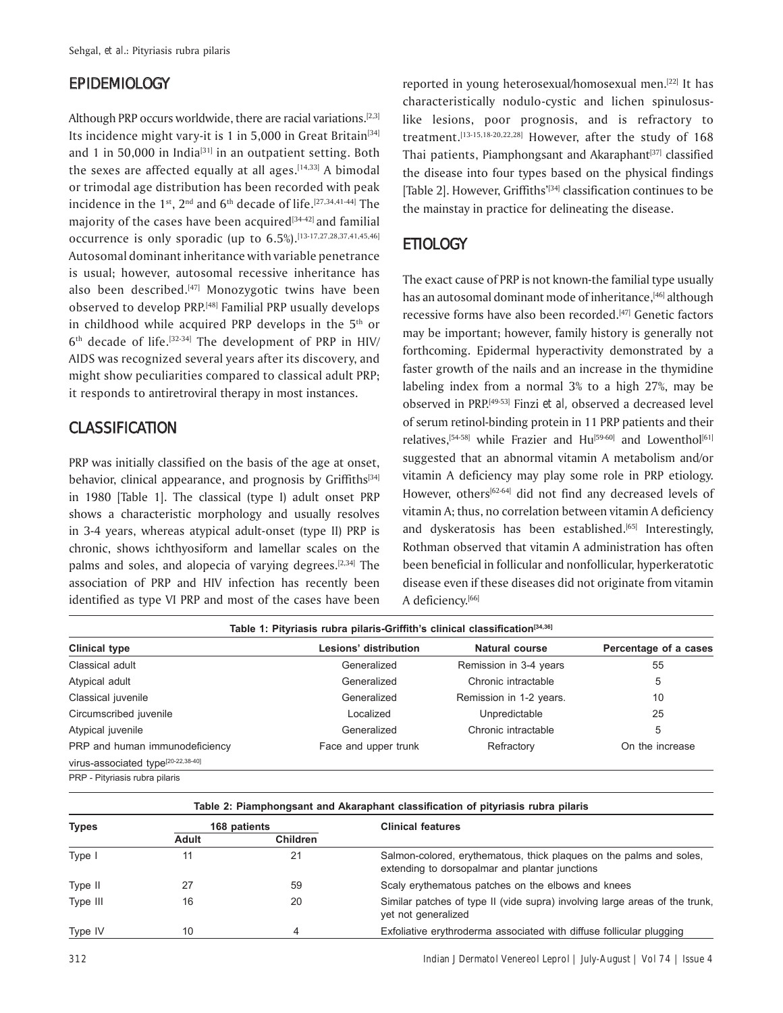### **EPIDEMIOLOGY**

Although PRP occurs worldwide, there are racial variations.<sup>[2,3]</sup> Its incidence might vary-it is 1 in 5,000 in Great Britain<sup>[34]</sup> and 1 in 50,000 in India<sup>[31]</sup> in an outpatient setting. Both the sexes are affected equally at all ages. $[14,33]$  A bimodal or trimodal age distribution has been recorded with peak incidence in the  $1^{st}$ ,  $2^{nd}$  and  $6^{th}$  decade of life.<sup>[27,34,41-44]</sup> The majority of the cases have been acquired $[34-42]$  and familial occurrence is only sporadic (up to 6.5%).<sup>[13-17,27,28,37,41,45,46]</sup> Autosomal dominant inheritance with variable penetrance is usual; however, autosomal recessive inheritance has also been described.<sup>[47]</sup> Monozygotic twins have been observed to develop PRP.[48] Familial PRP usually develops in childhood while acquired PRP develops in the 5<sup>th</sup> or  $6<sup>th</sup>$  decade of life.<sup>[32-34]</sup> The development of PRP in HIV/ AIDS was recognized several years after its discovery, and might show peculiarities compared to classical adult PRP; it responds to antiretroviral therapy in most instances.

# **CLASSIFICATION**

PRP was initially classified on the basis of the age at onset, behavior, clinical appearance, and prognosis by Griffiths<sup>[34]</sup> in 1980 [Table 1]. The classical (type I) adult onset PRP shows a characteristic morphology and usually resolves in 3-4 years, whereas atypical adult-onset (type II) PRP is chronic, shows ichthyosiform and lamellar scales on the palms and soles, and alopecia of varying degrees.[2,34] The association of PRP and HIV infection has recently been identified as type VI PRP and most of the cases have been reported in young heterosexual/homosexual men.[22] It has characteristically nodulo-cystic and lichen spinulosuslike lesions, poor prognosis, and is refractory to treatment.<sup>[13-15,18-20,22,28]</sup> However, after the study of 168 Thai patients, Piamphongsant and Akaraphant<sup>[37]</sup> classified the disease into four types based on the physical findings [Table 2]. However, Griffiths<sup>'[34]</sup> classification continues to be the mainstay in practice for delineating the disease.

## **ETIOLOGY**

The exact cause of PRP is not known-the familial type usually has an autosomal dominant mode of inheritance,<sup>[46]</sup> although recessive forms have also been recorded.<sup>[47]</sup> Genetic factors may be important; however, family history is generally not forthcoming. Epidermal hyperactivity demonstrated by a faster growth of the nails and an increase in the thymidine labeling index from a normal 3% to a high 27%, may be observed in PRP.[49-53] Finzi *et al,* observed a decreased level of serum retinol-binding protein in 11 PRP patients and their relatives,<sup>[54-58]</sup> while Frazier and Hu<sup>[59-60]</sup> and Lowenthol<sup>[61]</sup> suggested that an abnormal vitamin A metabolism and/or vitamin A deficiency may play some role in PRP etiology. However, others<sup>[62-64]</sup> did not find any decreased levels of vitamin A; thus, no correlation between vitamin A deficiency and dyskeratosis has been established.<sup>[65]</sup> Interestingly, Rothman observed that vitamin A administration has often been beneficial in follicular and nonfollicular, hyperkeratotic disease even if these diseases did not originate from vitamin A deficiency.<sup>[66]</sup>

| <b>Clinical type</b>                           | Lesions' distribution | Natural course          | Percentage of a cases |
|------------------------------------------------|-----------------------|-------------------------|-----------------------|
| Classical adult                                | Generalized           | Remission in 3-4 years  | 55                    |
| Atypical adult                                 | Generalized           | Chronic intractable     | 5                     |
| Classical juvenile                             | Generalized           | Remission in 1-2 years. | 10                    |
| Circumscribed juvenile                         | Localized             | Unpredictable           | 25                    |
| Atypical juvenile                              | Generalized           | Chronic intractable     | 5                     |
| PRP and human immunodeficiency                 | Face and upper trunk  | Refractory              | On the increase       |
| virus-associated type <sup>[20-22,38-40]</sup> |                       |                         |                       |
| PRP - Pitvriasis rubra pilaris                 |                       |                         |                       |

**Table 2: Piamphongsant and Akaraphant classifi cation of pityriasis rubra pilaris**

| <b>Types</b> | 168 patients |                 | <b>Clinical features</b>                                                                                              |  |
|--------------|--------------|-----------------|-----------------------------------------------------------------------------------------------------------------------|--|
|              | Adult        | <b>Children</b> |                                                                                                                       |  |
| Type I       |              | 21              | Salmon-colored, erythematous, thick plaques on the palms and soles,<br>extending to dorsopalmar and plantar junctions |  |
| Type II      |              | 59              | Scaly erythematous patches on the elbows and knees                                                                    |  |
| Type III     | 16           | 20              | Similar patches of type II (vide supra) involving large areas of the trunk,<br>vet not generalized                    |  |
| Type IV      | 10           | 4               | Exfoliative erythroderma associated with diffuse follicular plugging                                                  |  |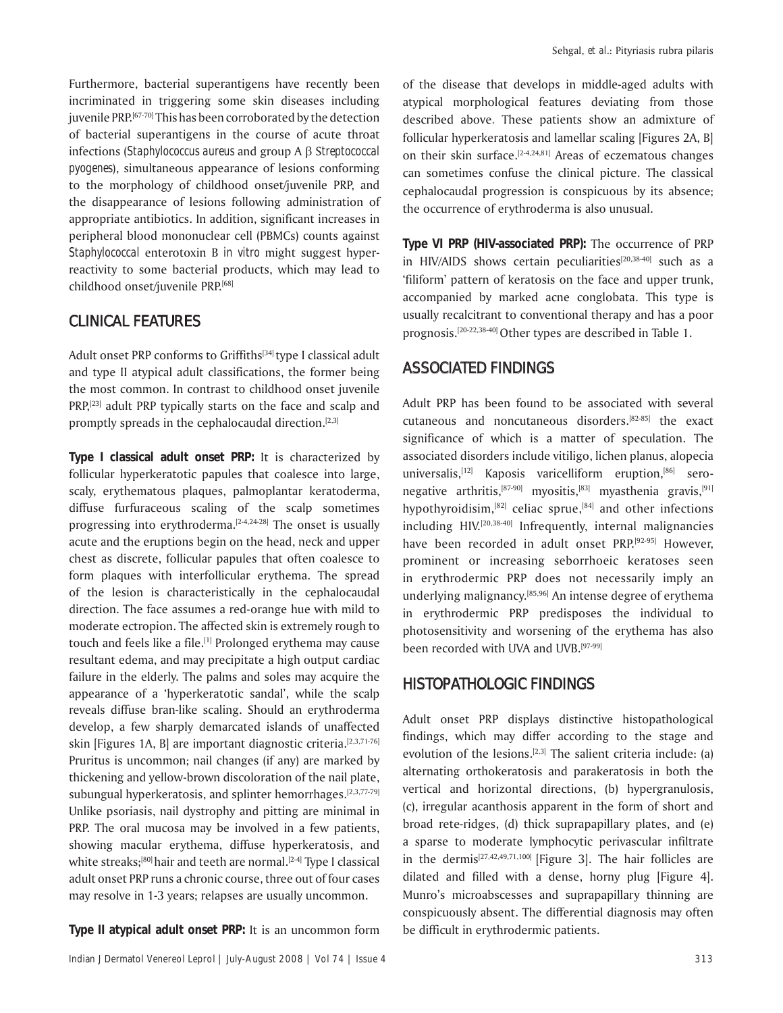Furthermore, bacterial superantigens have recently been incriminated in triggering some skin diseases including juvenile PRP.<sup>[67-70]</sup> This has been corroborated by the detection of bacterial superantigens in the course of acute throat infections (*Staphylococcus aureus* and group A β S*treptococcal pyogenes*), simultaneous appearance of lesions conforming to the morphology of childhood onset/juvenile PRP, and the disappearance of lesions following administration of appropriate antibiotics. In addition, significant increases in peripheral blood mononuclear cell (PBMCs) counts against *Staphylococcal* enterotoxin B *in vitro* might suggest hyperreactivity to some bacterial products, which may lead to childhood onset/juvenile PRP.[68]

### **CLINICAL FEATURES**

Adult onset PRP conforms to Griffiths<sup>[34]</sup> type I classical adult and type II atypical adult classifications, the former being the most common. In contrast to childhood onset juvenile PRP,<sup>[23]</sup> adult PRP typically starts on the face and scalp and promptly spreads in the cephalocaudal direction.<sup>[2,3]</sup>

**Type I classical adult onset PRP:** It is characterized by follicular hyperkeratotic papules that coalesce into large, scaly, erythematous plaques, palmoplantar keratoderma, diffuse furfuraceous scaling of the scalp sometimes progressing into erythroderma. $[2-4,24-28]$  The onset is usually acute and the eruptions begin on the head, neck and upper chest as discrete, follicular papules that often coalesce to form plaques with interfollicular erythema. The spread of the lesion is characteristically in the cephalocaudal direction. The face assumes a red-orange hue with mild to moderate ectropion. The affected skin is extremely rough to touch and feels like a file.<sup>[1]</sup> Prolonged erythema may cause resultant edema, and may precipitate a high output cardiac failure in the elderly. The palms and soles may acquire the appearance of a 'hyperkeratotic sandal', while the scalp reveals diffuse bran-like scaling. Should an erythroderma develop, a few sharply demarcated islands of unaffected skin [Figures 1A, B] are important diagnostic criteria.<sup>[2,3,71-76]</sup> Pruritus is uncommon; nail changes (if any) are marked by thickening and yellow-brown discoloration of the nail plate, subungual hyperkeratosis, and splinter hemorrhages.<sup>[2,3,77-79]</sup> Unlike psoriasis, nail dystrophy and pitting are minimal in PRP. The oral mucosa may be involved in a few patients, showing macular erythema, diffuse hyperkeratosis, and white streaks;<sup>[80]</sup> hair and teeth are normal.<sup>[2-4]</sup> Type I classical adult onset PRP runs a chronic course, three out of four cases may resolve in 1-3 years; relapses are usually uncommon.

**Type II atypical adult onset PRP:** It is an uncommon form

of the disease that develops in middle-aged adults with atypical morphological features deviating from those described above*.* These patients show an admixture of follicular hyperkeratosis and lamellar scaling [Figures 2A, B] on their skin surface.<sup>[2-4,24,81]</sup> Areas of eczematous changes can sometimes confuse the clinical picture. The classical cephalocaudal progression is conspicuous by its absence; the occurrence of erythroderma is also unusual.

**Type VI PRP (HIV-associated PRP):** The occurrence of PRP in HIV/AIDS shows certain peculiarities<sup>[20,38-40]</sup> such as a ëfiliformí pattern of keratosis on the face and upper trunk, accompanied by marked acne conglobata. This type is usually recalcitrant to conventional therapy and has a poor prognosis.[20-22,38-40] Other types are described in Table 1.

### **ASSOCIATED FINDINGS**

Adult PRP has been found to be associated with several cutaneous and noncutaneous disorders.[82-85] the exact significance of which is a matter of speculation. The associated disorders include vitiligo, lichen planus, alopecia universalis,<sup>[12]</sup> Kaposis varicelliform eruption,<sup>[86]</sup> seronegative arthritis,<sup>[87-90]</sup> myositis,<sup>[83]</sup> myasthenia gravis,<sup>[91]</sup> hypothyroidisim, $[82]$  celiac sprue, $[84]$  and other infections including HIV.[20,38-40] Infrequently, internal malignancies have been recorded in adult onset PRP.<sup>[92-95]</sup> However, prominent or increasing seborrhoeic keratoses seen in erythrodermic PRP does not necessarily imply an underlying malignancy.[85,96] An intense degree of erythema in erythrodermic PRP predisposes the individual to photosensitivity and worsening of the erythema has also been recorded with UVA and UVB.[97-99]

### HISTOPATHOLOGIC FINDINGS

Adult onset PRP displays distinctive histopathological findings, which may differ according to the stage and evolution of the lesions.<sup>[2,3]</sup> The salient criteria include: (a) alternating orthokeratosis and parakeratosis in both the vertical and horizontal directions, (b) hypergranulosis, (c), irregular acanthosis apparent in the form of short and broad rete-ridges, (d) thick suprapapillary plates, and (e) a sparse to moderate lymphocytic perivascular infiltrate in the dermis<sup>[27,42,49,71,100]</sup> [Figure 3]. The hair follicles are dilated and filled with a dense, horny plug [Figure 4]. Munro's microabscesses and suprapapillary thinning are conspicuously absent. The differential diagnosis may often be difficult in erythrodermic patients.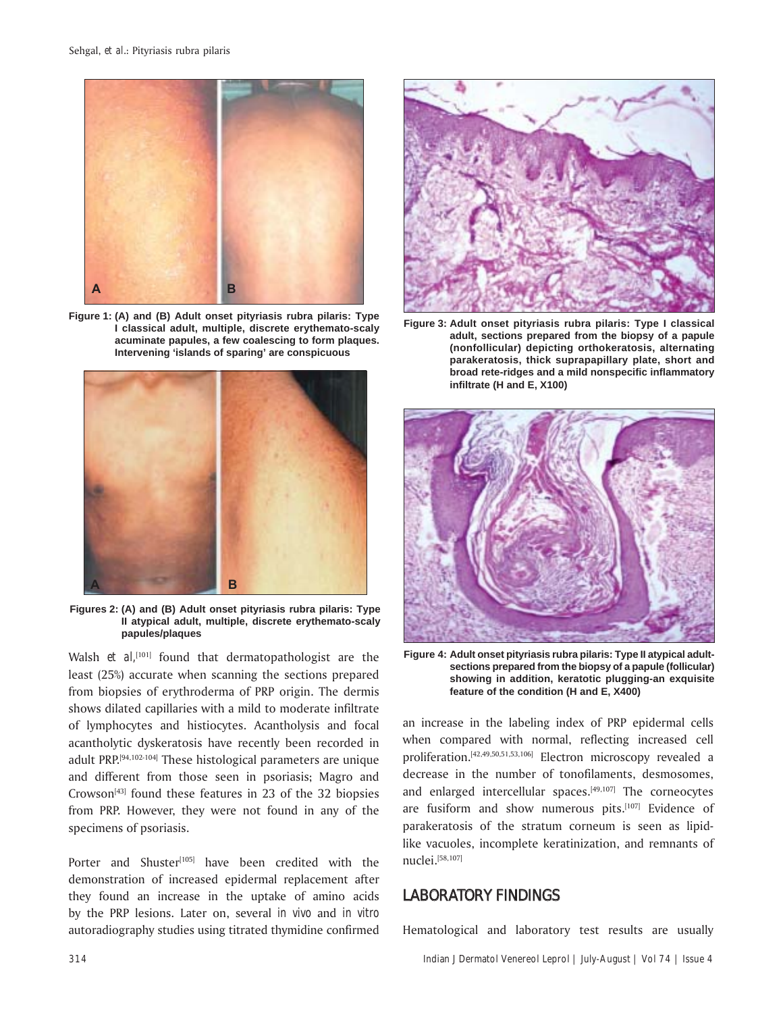

**Figure 1: (A) and (B) Adult onset pityriasis rubra pilaris: Type I classical adult, multiple, discrete erythemato-scaly acuminate papules, a few coalescing to form plaques. Intervening 'islands of sparing' are conspicuous**



**Figures 2: (A) and (B) Adult onset pityriasis rubra pilaris: Type II atypical adult, multiple, discrete erythemato-scaly papules/plaques**

Walsh *et al*,<sup>[101]</sup> found that dermatopathologist are the least (25%) accurate when scanning the sections prepared from biopsies of erythroderma of PRP origin. The dermis shows dilated capillaries with a mild to moderate infiltrate of lymphocytes and histiocytes. Acantholysis and focal acantholytic dyskeratosis have recently been recorded in adult PRP.[94,102-104] These histological parameters are unique and different from those seen in psoriasis; Magro and Crowson $^{[43]}$  found these features in 23 of the 32 biopsies from PRP. However, they were not found in any of the specimens of psoriasis.

Porter and Shuster<sup>[105]</sup> have been credited with the demonstration of increased epidermal replacement after they found an increase in the uptake of amino acids by the PRP lesions. Later on, several *in vivo* and *in vitro* autoradiography studies using titrated thymidine confirmed



**Figure 3: Adult onset pityriasis rubra pilaris: Type I classical adult, sections prepared from the biopsy of a papule (nonfollicular) depicting orthokeratosis, alternating parakeratosis, thick suprapapillary plate, short and broad rete-ridges and a mild nonspecifi c infl ammatory infi ltrate (H and E, X100)**



**Figure 4: Adult onset pityriasis rubra pilaris: Type II atypical adultsections prepared from the biopsy of a papule (follicular) showing in addition, keratotic plugging-an exquisite feature of the condition (H and E, X400)**

an increase in the labeling index of PRP epidermal cells when compared with normal, reflecting increased cell proliferation.[42,49,50,51,53,106] Electron microscopy revealed a decrease in the number of tonofilaments, desmosomes, and enlarged intercellular spaces.<sup>[49,107]</sup> The corneocytes are fusiform and show numerous pits.[107] Evidence of parakeratosis of the stratum corneum is seen as lipidlike vacuoles, incomplete keratinization, and remnants of nuclei.[58,107]

#### LABORATORY FINDINGS

Hematological and laboratory test results are usually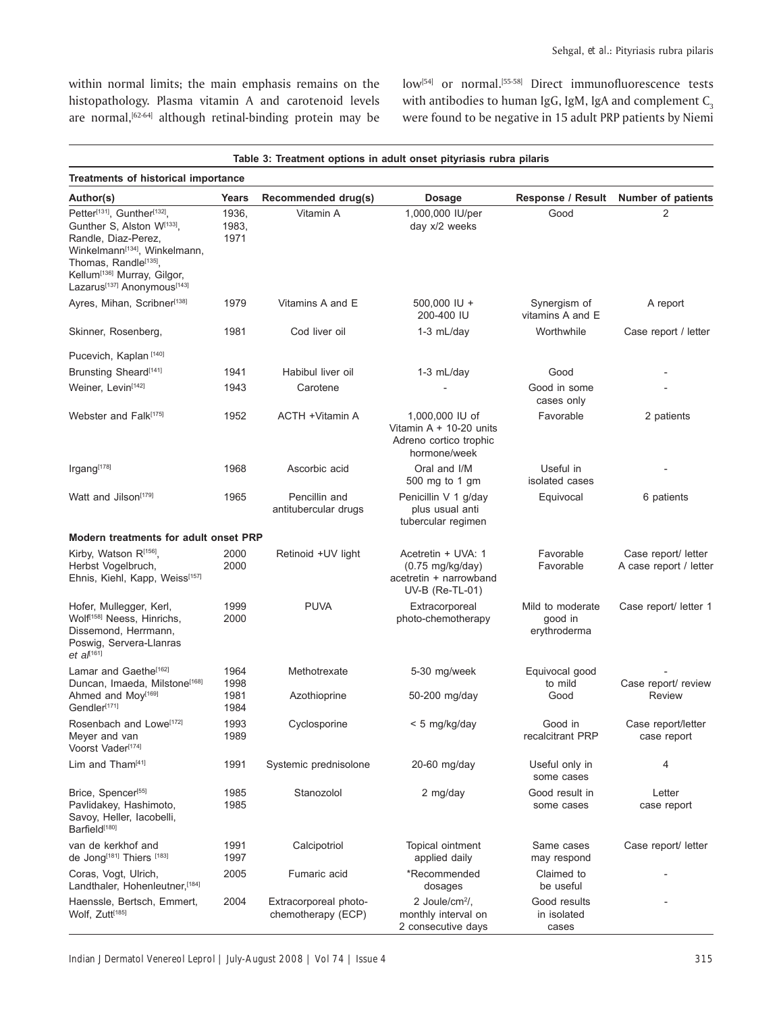within normal limits; the main emphasis remains on the histopathology. Plasma vitamin A and carotenoid levels are normal,<sup>[62-64]</sup> although retinal-binding protein may be

low<sup>[54]</sup> or normal.<sup>[55-58]</sup> Direct immunofluorescence tests with antibodies to human IgG, IgM, IgA and complement  $C_3$ were found to be negative in 15 adult PRP patients by Niemi

| Table 3: Treatment options in adult onset pityriasis rubra pilaris<br><b>Treatments of historical importance</b>                                                                                                                                                                                                                                                                                                           |                        |                                             |                                                                                                 |                                             |                                               |  |  |  |
|----------------------------------------------------------------------------------------------------------------------------------------------------------------------------------------------------------------------------------------------------------------------------------------------------------------------------------------------------------------------------------------------------------------------------|------------------------|---------------------------------------------|-------------------------------------------------------------------------------------------------|---------------------------------------------|-----------------------------------------------|--|--|--|
|                                                                                                                                                                                                                                                                                                                                                                                                                            |                        |                                             |                                                                                                 |                                             |                                               |  |  |  |
| Petter <sup>[131]</sup> , Gunther <sup>[132]</sup> ,<br>Gunther S, Alston W[133].<br>Randle, Diaz-Perez,<br>Winkelmann <sup>[134]</sup> , Winkelmann,<br>Thomas, Randle <sup>[135]</sup> ,<br>Kellum <sup>[136]</sup> Murray, Gilgor,<br>Lazarus<br>137]<br>Anonymous<br>I143]<br>Inflance<br>Inflance<br>Inflance<br>Inflance<br>Inflance<br>Inflance<br>Inflance<br>Inflance<br>Inflance<br>Inflance<br>Inflance<br>Infl | 1936,<br>1983,<br>1971 | Vitamin A                                   | 1,000,000 IU/per<br>day x/2 weeks                                                               | Good                                        | 2                                             |  |  |  |
| Ayres, Mihan, Scribner <sup>[138]</sup>                                                                                                                                                                                                                                                                                                                                                                                    | 1979                   | Vitamins A and E                            | 500,000 IU +<br>200-400 IU                                                                      | Synergism of<br>vitamins A and E            | A report                                      |  |  |  |
| Skinner, Rosenberg,                                                                                                                                                                                                                                                                                                                                                                                                        | 1981                   | Cod liver oil                               | $1-3$ mL/day                                                                                    | Worthwhile                                  | Case report / letter                          |  |  |  |
| Pucevich, Kaplan <sup>[140]</sup>                                                                                                                                                                                                                                                                                                                                                                                          |                        |                                             |                                                                                                 |                                             |                                               |  |  |  |
| Brunsting Sheard <sup>[141]</sup>                                                                                                                                                                                                                                                                                                                                                                                          | 1941                   | Habibul liver oil                           | $1-3$ mL/day                                                                                    | Good                                        |                                               |  |  |  |
| Weiner, Levin <sup>[142]</sup>                                                                                                                                                                                                                                                                                                                                                                                             | 1943                   | Carotene                                    |                                                                                                 | Good in some<br>cases only                  |                                               |  |  |  |
| Webster and Falk <sup>[175]</sup>                                                                                                                                                                                                                                                                                                                                                                                          | 1952                   | <b>ACTH +Vitamin A</b>                      | 1,000,000 IU of<br>Vitamin $A + 10-20$ units<br>Adreno cortico trophic<br>hormone/week          | Favorable                                   | 2 patients                                    |  |  |  |
| Irgang[178]                                                                                                                                                                                                                                                                                                                                                                                                                | 1968                   | Ascorbic acid                               | Oral and I/M<br>500 mg to 1 gm                                                                  | Useful in<br>isolated cases                 |                                               |  |  |  |
| Watt and Jilson <sup>[179]</sup>                                                                                                                                                                                                                                                                                                                                                                                           | 1965                   | Pencillin and<br>antitubercular drugs       | Penicillin V 1 g/day<br>plus usual anti<br>tubercular regimen                                   | Equivocal                                   | 6 patients                                    |  |  |  |
| Modern treatments for adult onset PRP                                                                                                                                                                                                                                                                                                                                                                                      |                        |                                             |                                                                                                 |                                             |                                               |  |  |  |
| Kirby, Watson R[156],<br>Herbst Vogelbruch,<br>Ehnis, Kiehl, Kapp, Weiss[157]                                                                                                                                                                                                                                                                                                                                              | 2000<br>2000           | Retinoid +UV light                          | Acetretin + UVA: 1<br>$(0.75 \text{ mg/kg/day})$<br>acetretin + narrowband<br>$UV-B$ (Re-TL-01) | Favorable<br>Favorable                      | Case report/ letter<br>A case report / letter |  |  |  |
| Hofer, Mullegger, Kerl,<br>Wolf <sup>[158]</sup> Neess, Hinrichs,<br>Dissemond, Herrmann,<br>Poswig, Servera-Llanras<br>$et a^{[161]}$                                                                                                                                                                                                                                                                                     | 1999<br>2000           | <b>PUVA</b>                                 | Extracorporeal<br>photo-chemotherapy                                                            | Mild to moderate<br>good in<br>erythroderma | Case report/ letter 1                         |  |  |  |
| Lamar and Gaethe <sup>[162]</sup><br>Duncan, Imaeda, Milstone <sup>[168]</sup>                                                                                                                                                                                                                                                                                                                                             | 1964<br>1998           | Methotrexate                                | 5-30 mg/week                                                                                    | Equivocal good<br>to mild                   | Case report/ review                           |  |  |  |
| Ahmed and Moy <sup>[169]</sup><br>Gendler <sup>[171]</sup>                                                                                                                                                                                                                                                                                                                                                                 | 1981<br>1984           | Azothioprine                                | 50-200 mg/day                                                                                   | Good                                        | <b>Review</b>                                 |  |  |  |
| Rosenbach and Lowe <sup>[172]</sup><br>Meyer and van<br>Voorst Vader[174]                                                                                                                                                                                                                                                                                                                                                  | 1993<br>1989           | Cyclosporine                                | < 5 mg/kg/day                                                                                   | Good in<br>recalcitrant PRP                 | Case report/letter<br>case report             |  |  |  |
| Lim and Tham <sup>[41]</sup>                                                                                                                                                                                                                                                                                                                                                                                               | 1991                   | Systemic prednisolone                       | $20-60$ mg/day                                                                                  | Useful only in<br>some cases                | 4                                             |  |  |  |
| Brice, Spencer <sup>[55]</sup><br>Pavlidakey, Hashimoto,<br>Savoy, Heller, Iacobelli,<br>Barfield <sup>[180]</sup>                                                                                                                                                                                                                                                                                                         | 1985<br>1985           | Stanozolol                                  | 2 mg/day                                                                                        | Good result in<br>some cases                | Letter<br>case report                         |  |  |  |
| van de kerkhof and<br>de Jong[181] Thiers [183]                                                                                                                                                                                                                                                                                                                                                                            | 1991<br>1997           | Calcipotriol                                | Topical ointment<br>applied daily                                                               | Same cases<br>may respond                   | Case report/ letter                           |  |  |  |
| Coras, Vogt, Ulrich,<br>Landthaler, Hohenleutner, [184]                                                                                                                                                                                                                                                                                                                                                                    | 2005                   | Fumaric acid                                | *Recommended<br>dosages                                                                         | Claimed to<br>be useful                     |                                               |  |  |  |
| Haenssle, Bertsch, Emmert,<br>Wolf, Zutt <sup>[185]</sup>                                                                                                                                                                                                                                                                                                                                                                  | 2004                   | Extracorporeal photo-<br>chemotherapy (ECP) | 2 Joule/cm <sup>2</sup> /,<br>monthly interval on<br>2 consecutive days                         | Good results<br>in isolated<br>cases        |                                               |  |  |  |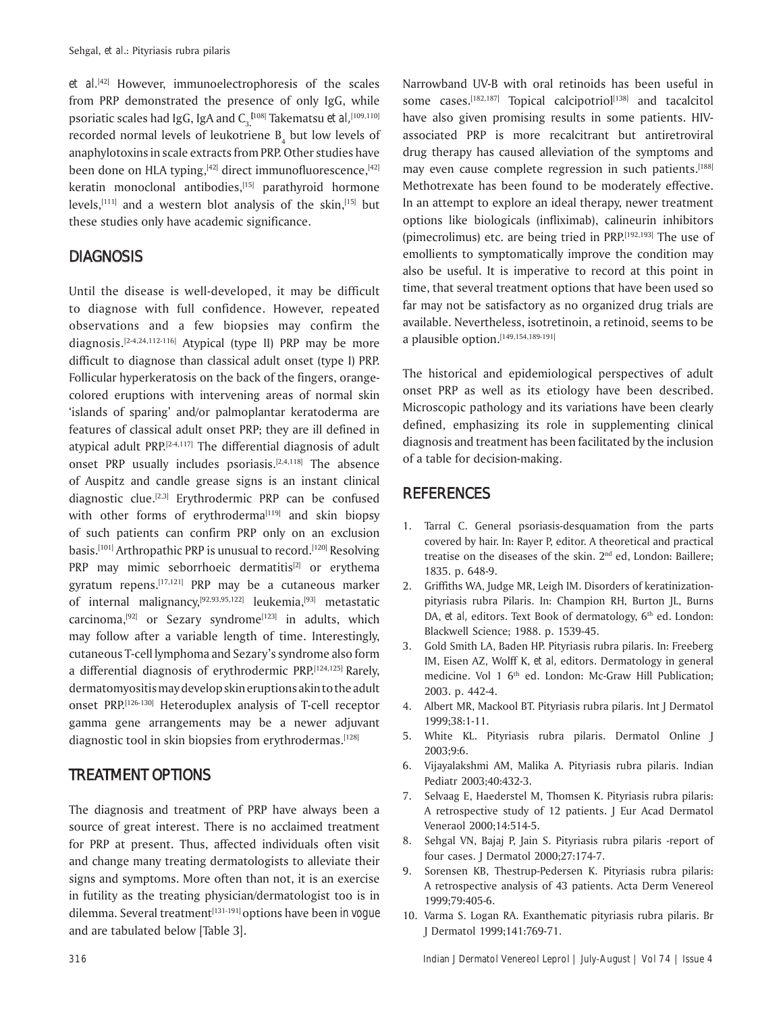*et al.*[42] However, immunoelectrophoresis of the scales from PRP demonstrated the presence of only IgG, while psoriatic scales had IgG, IgA and C<sub>3.</sub>[108] Takematsu *et al,*[109,110] recorded normal levels of leukotriene  $B_4$  but low levels of anaphylotoxins in scale extracts from PRP. Other studies have been done on HLA typing, $[42]$  direct immunofluorescence, $[42]$ keratin monoclonal antibodies,<sup>[15]</sup> parathyroid hormone levels,<sup>[111]</sup> and a western blot analysis of the skin,<sup>[15]</sup> but these studies only have academic significance.

### **DIAGNOSIS**

Until the disease is well-developed, it may be difficult to diagnose with full confidence. However, repeated observations and a few biopsies may confirm the diagnosis.[2-4,24,112-116] Atypical (type II) PRP may be more difficult to diagnose than classical adult onset (type I) PRP. Follicular hyperkeratosis on the back of the fingers, orangecolored eruptions with intervening areas of normal skin 'islands of sparing' and/or palmoplantar keratoderma are features of classical adult onset PRP; they are ill defined in atypical adult PRP. $[2-4,117]$  The differential diagnosis of adult onset PRP usually includes psoriasis.[2,4,118] The absence of Auspitz and candle grease signs is an instant clinical diagnostic clue.[2,3] Erythrodermic PRP can be confused with other forms of erythroderma $[119]$  and skin biopsy of such patients can confirm PRP only on an exclusion basis.<sup>[101]</sup> Arthropathic PRP is unusual to record.<sup>[120]</sup> Resolving PRP may mimic seborrhoeic dermatitis<sup>[2]</sup> or erythema gyratum repens.[17,121] PRP may be a cutaneous marker of internal malignancy,[92,93,95,122] leukemia,[93] metastatic carcinoma,<sup>[92]</sup> or Sezary syndrome<sup>[123]</sup> in adults, which may follow after a variable length of time. Interestingly, cutaneous T-cell lymphoma and Sezary's syndrome also form a differential diagnosis of erythrodermic PRP.[124,125] Rarely, dermatomyositis may develop skin eruptions akin to the adult onset PRP.[126-130] Heteroduplex analysis of T-cell receptor gamma gene arrangements may be a newer adjuvant diagnostic tool in skin biopsies from erythrodermas.<sup>[128]</sup>

## **TREATMENT OPTIONS**

The diagnosis and treatment of PRP have always been a source of great interest. There is no acclaimed treatment for PRP at present. Thus, affected individuals often visit and change many treating dermatologists to alleviate their signs and symptoms. More often than not, it is an exercise in futility as the treating physician/dermatologist too is in dilemma. Several treatment<sup>[131-191]</sup> options have been *in voque* and are tabulated below [Table 3].

Narrowband UV-B with oral retinoids has been useful in some cases.<sup>[182,187]</sup> Topical calcipotriol<sup>[138]</sup> and tacalcitol have also given promising results in some patients. HIVassociated PRP is more recalcitrant but antiretroviral drug therapy has caused alleviation of the symptoms and may even cause complete regression in such patients.<sup>[188]</sup> Methotrexate has been found to be moderately effective. In an attempt to explore an ideal therapy, newer treatment options like biologicals (infliximab), calineurin inhibitors (pimecrolimus) etc. are being tried in PRP.[192,193] The use of emollients to symptomatically improve the condition may also be useful. It is imperative to record at this point in time, that several treatment options that have been used so far may not be satisfactory as no organized drug trials are available. Nevertheless, isotretinoin, a retinoid, seems to be a plausible option.[149,154,189-191]

The historical and epidemiological perspectives of adult onset PRP as well as its etiology have been described. Microscopic pathology and its variations have been clearly defined, emphasizing its role in supplementing clinical diagnosis and treatment has been facilitated by the inclusion of a table for decision-making.

### **REFERENCES**

- 1. Tarral C. General psoriasis-desquamation from the parts covered by hair. In: Rayer P, editor. A theoretical and practical treatise on the diseases of the skin. 2<sup>nd</sup> ed, London: Baillere; 1835. p. 648-9.
- 2. Griffiths WA, Judge MR, Leigh IM. Disorders of keratinizationpityriasis rubra Pilaris. In: Champion RH, Burton JL, Burns DA, *et al*, editors. Text Book of dermatology, 6<sup>th</sup> ed. London: Blackwell Science; 1988. p. 1539-45.
- 3. Gold Smith LA, Baden HP. Pityriasis rubra pilaris. In: Freeberg IM, Eisen AZ, Wolff K, *et al,* editors. Dermatology in general medicine. Vol 1 6<sup>th</sup> ed. London: Mc-Graw Hill Publication; 2003. p. 442-4.
- 4. Albert MR, Mackool BT. Pityriasis rubra pilaris. Int J Dermatol 1999;38:1-11.
- 5. White KL. Pityriasis rubra pilaris. Dermatol Online J 2003;9:6.
- 6. Vijayalakshmi AM, Malika A. Pityriasis rubra pilaris. Indian Pediatr 2003;40:432-3.
- 7. Selvaag E, Haederstel M, Thomsen K. Pityriasis rubra pilaris: A retrospective study of 12 patients. J Eur Acad Dermatol Veneraol 2000;14:514-5.
- 8. Sehgal VN, Bajaj P, Jain S. Pityriasis rubra pilaris -report of four cases. J Dermatol 2000;27:174-7.
- 9. Sorensen KB, Thestrup-Pedersen K. Pityriasis rubra pilaris: A retrospective analysis of 43 patients. Acta Derm Venereol 1999;79:405-6.
- 10. Varma S. Logan RA. Exanthematic pityriasis rubra pilaris. Br J Dermatol 1999;141:769-71.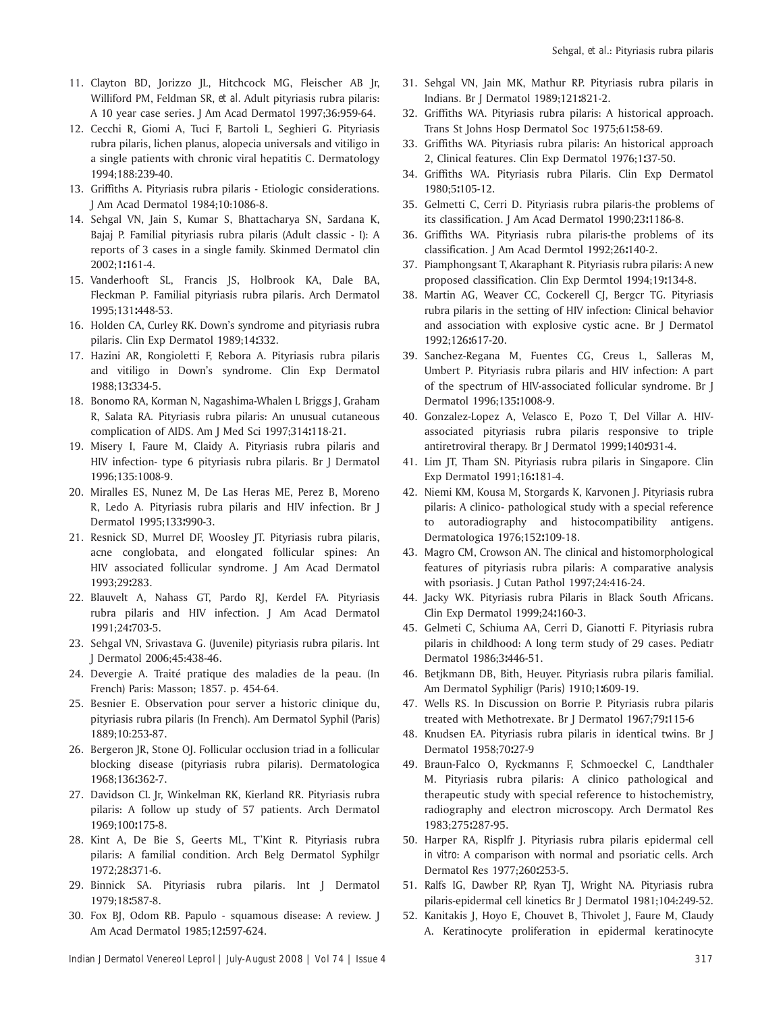- 11. Clayton BD, Jorizzo JL, Hitchcock MG, Fleischer AB Jr, Williford PM, Feldman SR, *et al.* Adult pityriasis rubra pilaris: A 10 year case series. J Am Acad Dermatol 1997;36:959-64.
- 12. Cecchi R, Giomi A, Tuci F, Bartoli L, Seghieri G*.* Pityriasis rubra pilaris, lichen planus, alopecia universals and vitiligo in a single patients with chronic viral hepatitis C. Dermatology 1994;188:239-40.
- 13. Griffiths A. Pityriasis rubra pilaris Etiologic considerations*.*  J Am Acad Dermatol 1984;10:1086-8.
- 14. Sehgal VN, Jain S, Kumar S, Bhattacharya SN, Sardana K, Bajaj P. Familial pityriasis rubra pilaris (Adult classic - I): A reports of 3 cases in a single family. Skinmed Dermatol clin 2002;1**:**161-4.
- 15. Vanderhooft SL, Francis JS, Holbrook KA, Dale BA, Fleckman P*.* Familial pityriasis rubra pilaris. Arch Dermatol 1995;131**:**448-53.
- 16. Holden CA, Curley RK. Down's syndrome and pityriasis rubra pilaris. Clin Exp Dermatol 1989;14**:**332.
- 17. Hazini AR, Rongioletti F, Rebora A. Pityriasis rubra pilaris and vitiligo in Down's syndrome. Clin Exp Dermatol 1988;13**:**334-5.
- 18. Bonomo RA, Korman N, Nagashima-Whalen L Briggs J, Graham R, Salata RA*.* Pityriasis rubra pilaris: An unusual cutaneous complication of AIDS. Am J Med Sci 1997;314**:**118-21.
- 19. Misery I, Faure M, Claidy A. Pityriasis rubra pilaris and HIV infection- type 6 pityriasis rubra pilaris. Br J Dermatol 1996;135:1008-9.
- 20. Miralles ES, Nunez M, De Las Heras ME, Perez B, Moreno R, Ledo A*.* Pityriasis rubra pilaris and HIV infection. Br J Dermatol 1995;133**:**990-3.
- 21. Resnick SD, Murrel DF, Woosley JT. Pityriasis rubra pilaris, acne conglobata, and elongated follicular spines: An HIV associated follicular syndrome. J Am Acad Dermatol 1993;29**:**283.
- 22. Blauvelt A, Nahass GT, Pardo RJ, Kerdel FA*.* Pityriasis rubra pilaris and HIV infection. J Am Acad Dermatol 1991;24**:**703-5.
- 23. Sehgal VN, Srivastava G. (Juvenile) pityriasis rubra pilaris. Int J Dermatol 2006;45:438-46.
- 24. Devergie A. Traité pratique des maladies de la peau. (In French) Paris: Masson; 1857. p. 454-64.
- 25. Besnier E. Observation pour server a historic clinique du, pityriasis rubra pilaris (In French). Am Dermatol Syphil *(*Paris*)*  1889;10:253-87.
- 26. Bergeron JR, Stone OJ. Follicular occlusion triad in a follicular blocking disease (pityriasis rubra pilaris). Dermatologica 1968;136**:**362-7.
- 27. Davidson CL Jr, Winkelman RK, Kierland RR. Pityriasis rubra pilaris: A follow up study of 57 patients. Arch Dermatol 1969;100**:**175-8.
- 28. Kint A, De Bie S, Geerts ML, T'Kint R. Pityriasis rubra pilaris: A familial condition. Arch Belg Dermatol Syphilgr 1972;28**:**371-6.
- 29. Binnick SA. Pityriasis rubra pilaris. Int J Dermatol 1979;18**:**587-8.
- 30. Fox BJ, Odom RB. Papulo squamous disease: A review. J Am Acad Dermatol 1985;12**:**597-624.
- 31. Sehgal VN, Jain MK, Mathur RP. Pityriasis rubra pilaris in Indians. Br J Dermatol 1989;121**:**821-2.
- 32. Griffiths WA. Pityriasis rubra pilaris: A historical approach. Trans St Johns Hosp Dermatol Soc 1975;61**:**58-69.
- 33. Griffiths WA. Pityriasis rubra pilaris: An historical approach 2, Clinical features. Clin Exp Dermatol 1976;1**:**37-50.
- 34. Griffiths WA. Pityriasis rubra Pilaris. Clin Exp Dermatol 1980;5**:**105-12.
- 35. Gelmetti C, Cerri D. Pityriasis rubra pilaris-the problems of its classification. J Am Acad Dermatol 1990;23**:**1186-8.
- 36. Griffiths WA. Pityriasis rubra pilaris-the problems of its classification. J Am Acad Dermtol 1992;26**:**140-2.
- 37. Piamphongsant T, Akaraphant R. Pityriasis rubra pilaris: A new proposed classification. Clin Exp Dermtol 1994;19**:**134-8.
- 38. Martin AG, Weaver CC, Cockerell CJ, Bergcr TG*.* Pityriasis rubra pilaris in the setting of HIV infection: Clinical behavior and association with explosive cystic acne. Br J Dermatol 1992;126**:**617-20.
- 39. Sanchez-Regana M, Fuentes CG, Creus L, Salleras M, Umbert P*.* Pityriasis rubra pilaris and HIV infection: A part of the spectrum of HIV-associated follicular syndrome. Br J Dermatol 1996;135**:**1008-9.
- 40. Gonzalez-Lopez A, Velasco E, Pozo T, Del Villar A*.* HIVassociated pityriasis rubra pilaris responsive to triple antiretroviral therapy. Br J Dermatol 1999;140**:**931-4.
- 41. Lim JT, Tham SN. Pityriasis rubra pilaris in Singapore. Clin Exp Dermatol 1991;16**:**181-4.
- 42. Niemi KM, Kousa M, Storgards K, Karvonen J. Pityriasis rubra pilaris: A clinico- pathological study with a special reference to autoradiography and histocompatibility antigens. Dermatologica 1976;152**:**109-18.
- 43. Magro CM, Crowson AN. The clinical and histomorphological features of pityriasis rubra pilaris: A comparative analysis with psoriasis. J Cutan Pathol 1997;24:416-24.
- 44. Jacky WK. Pityriasis rubra Pilaris in Black South Africans. Clin Exp Dermatol 1999;24**:**160-3.
- 45. Gelmeti C, Schiuma AA, Cerri D, Gianotti F*.* Pityriasis rubra pilaris in childhood: A long term study of 29 cases. Pediatr Dermatol 1986;3**:**446-51.
- 46. Betjkmann DB, Bith, Heuyer. Pityriasis rubra pilaris familial. Am Dermatol Syphiligr *(*Paris*)* 1910;1**:**609-19.
- 47. Wells RS. In Discussion on Borrie P. Pityriasis rubra pilaris treated with Methotrexate. Br J Dermatol 1967;79**:**115-6
- 48. Knudsen EA. Pityriasis rubra pilaris in identical twins. Br J Dermatol 1958;70**:**27-9
- 49. Braun-Falco O, Ryckmanns F, Schmoeckel C, Landthaler M. Pityriasis rubra pilaris: A clinico pathological and therapeutic study with special reference to histochemistry, radiography and electron microscopy. Arch Dermatol Res 1983;275**:**287-95.
- 50. Harper RA, Risplfr J. Pityriasis rubra pilaris epidermal cell *in vitro*: A comparison with normal and psoriatic cells. Arch Dermatol Res 1977;260**:**253-5.
- 51. Ralfs IG, Dawber RP, Ryan TJ, Wright NA*.* Pityriasis rubra pilaris-epidermal cell kinetics Br J Dermatol 1981;104:249-52.
- 52. Kanitakis J, Hoyo E, Chouvet B, Thivolet J, Faure M, Claudy A. Keratinocyte proliferation in epidermal keratinocyte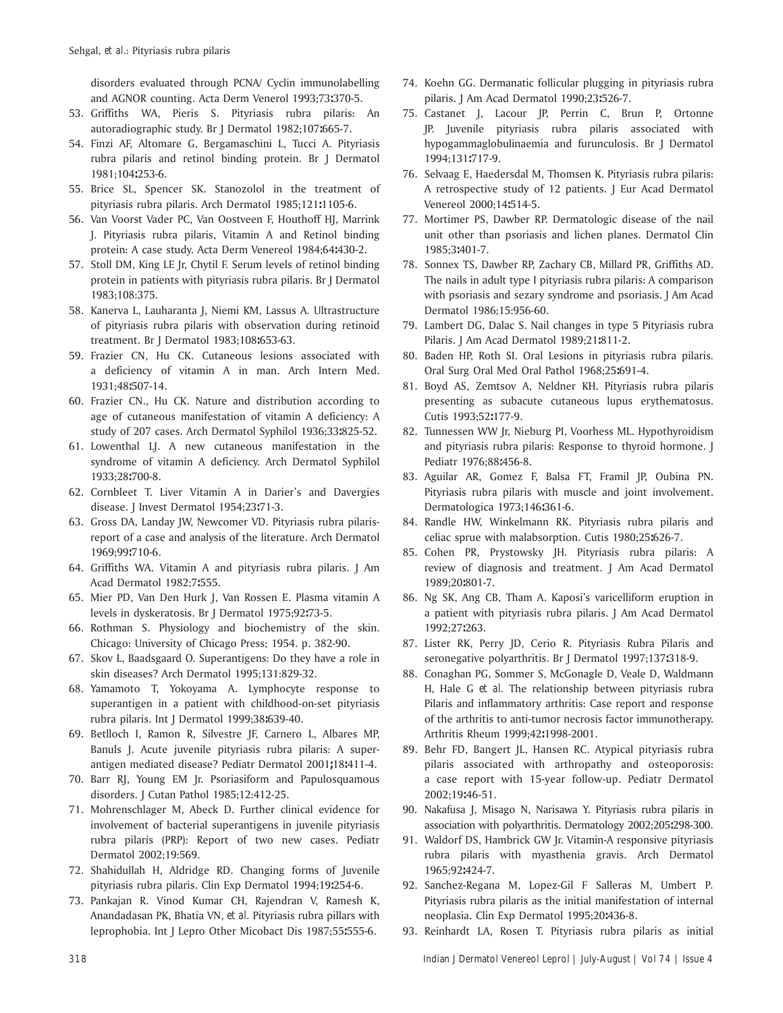disorders evaluated through PCNA/ Cyclin immunolabelling and AGNOR counting. Acta Derm Venerol 1993;73**:**370-5.

- 53. Griffiths WA, Pieris S. Pityriasis rubra pilaris: An autoradiographic study. Br J Dermatol 1982;107**:**665-7.
- 54. Finzi AF, Altomare G, Bergamaschini L, Tucci A. Pityriasis rubra pilaris and retinol binding protein. Br J Dermatol 1981;104**:**253-6.
- 55. Brice SL, Spencer SK. Stanozolol in the treatment of pityriasis rubra pilaris. Arch Dermatol 1985;121**:**1105-6.
- 56. Van Voorst Vader PC, Van Oostveen F, Houthoff HJ, Marrink J. Pityriasis rubra pilaris, Vitamin A and Retinol binding protein: A case study. Acta Derm Venereol 1984;64**:**430-2.
- 57. Stoll DM, King LE Jr, Chytil F. Serum levels of retinol binding protein in patients with pityriasis rubra pilaris. Br J Dermatol 1983;108:375.
- 58. Kanerva L, Lauharanta J, Niemi KM, Lassus A. Ultrastructure of pityriasis rubra pilaris with observation during retinoid treatment. Br J Dermatol 1983;108**:**653-63.
- 59. Frazier CN, Hu CK. Cutaneous lesions associated with a deficiency of vitamin A in man. Arch Intern Med. 1931;48**:**507-14.
- 60. Frazier CN., Hu CK. Nature and distribution according to age of cutaneous manifestation of vitamin A deficiency: A study of 207 cases. Arch Dermatol Syphilol 1936;33**:**825-52.
- 61. Lowenthal LJ. A new cutaneous manifestation in the syndrome of vitamin A deficiency. Arch Dermatol Syphilol 1933;28**:**700-8.
- 62. Cornbleet T. Liver Vitamin A in Darier's and Davergies disease. J Invest Dermatol 1954;23**:**71-3.
- 63. Gross DA, Landay JW, Newcomer VD. Pityriasis rubra pilarisreport of a case and analysis of the literature. Arch Dermatol 1969;99**:**710-6.
- 64. Griffiths WA. Vitamin A and pityriasis rubra pilaris. J Am Acad Dermatol 1982;7**:**555.
- 65. Mier PD, Van Den Hurk J, Van Rossen E. Plasma vitamin A levels in dyskeratosis. Br J Dermatol 1975;92**:**73-5.
- 66. Rothman S. Physiology and biochemistry of the skin. Chicago: University of Chicago Press; 1954. p. 382-90.
- 67. Skov L, Baadsgaard O. Superantigens: Do they have a role in skin diseases? Arch Dermatol 1995;131:829-32.
- 68. Yamamoto T, Yokoyama A. Lymphocyte response to superantigen in a patient with childhood-on-set pityriasis rubra pilaris. Int J Dermatol 1999;38**:**639-40.
- 69. Betlloch I, Ramon R, Silvestre JF, Carnero L, Albares MP, Banuls J. Acute juvenile pityriasis rubra pilaris: A superantigen mediated disease? Pediatr Dermatol 2001**;**18**:**411-4.
- 70. Barr RJ, Young EM Jr. Psoriasiform and Papulosquamous disorders. J Cutan Pathol 1985;12:412-25.
- 71. Mohrenschlager M, Abeck D. Further clinical evidence for involvement of bacterial superantigens in juvenile pityriasis rubra pilaris (PRP): Report of two new cases. Pediatr Dermatol 2002;19:569.
- 72. Shahidullah H, Aldridge RD. Changing forms of Juvenile pityriasis rubra pilaris. Clin Exp Dermatol 1994;19**:**254-6.
- 73. Pankajan R. Vinod Kumar CH, Rajendran V, Ramesh K, Anandadasan PK, Bhatia VN, *et al.* Pityriasis rubra pillars with leprophobia. Int J Lepro Other Micobact Dis 1987;55**:**555-6.
- 74. Koehn GG. Dermanatic follicular plugging in pityriasis rubra pilaris. J Am Acad Dermatol 1990;23**:**526-7.
- 75. Castanet J, Lacour JP, Perrin C, Brun P, Ortonne JP. Juvenile pityriasis rubra pilaris associated with hypogammaglobulinaemia and furunculosis. Br J Dermatol 1994;131**:**717-9.
- 76. Selvaag E, Haedersdal M, Thomsen K. Pityriasis rubra pilaris: A retrospective study of 12 patients. J Eur Acad Dermatol Venereol 2000;14**:**514-5.
- 77. Mortimer PS, Dawber RP. Dermatologic disease of the nail unit other than psoriasis and lichen planes. Dermatol Clin 1985;3**:**401-7.
- 78. Sonnex TS, Dawber RP, Zachary CB, Millard PR, Griffiths AD. The nails in adult type I pityriasis rubra pilaris: A comparison with psoriasis and sezary syndrome and psoriasis. J Am Acad Dermatol 1986;15:956-60.
- 79. Lambert DG, Dalac S. Nail changes in type 5 Pityriasis rubra Pilaris. J Am Acad Dermatol 1989;21**:**811-2.
- 80. Baden HP, Roth SI. Oral Lesions in pityriasis rubra pilaris*.*  Oral Surg Oral Med Oral Pathol 1968;25**:**691-4.
- 81. Boyd AS, Zemtsov A, Neldner KH. Pityriasis rubra pilaris presenting as subacute cutaneous lupus erythematosus. Cutis 1993;52**:**177-9.
- 82. Tunnessen WW Jr, Nieburg PI, Voorhess ML. Hypothyroidism and pityriasis rubra pilaris: Response to thyroid hormone. J Pediatr 1976;88**:**456-8.
- 83. Aguilar AR, Gomez F, Balsa FT, Framil JP, Oubina PN. Pityriasis rubra pilaris with muscle and joint involvement. Dermatologica 1973;146**:**361-6.
- 84. Randle HW, Winkelmann RK. Pityriasis rubra pilaris and celiac sprue with malabsorption. Cutis 1980;25**:**626-7.
- 85. Cohen PR, Prystowsky JH. Pityriasis rubra pilaris: A review of diagnosis and treatment. J Am Acad Dermatol 1989;20**:**801-7.
- 86. Ng SK, Ang CB, Tham A. Kaposi's varicelliform eruption in a patient with pityriasis rubra pilaris. J Am Acad Dermatol 1992;27**:**263.
- 87. Lister RK, Perry JD, Cerio R. Pityriasis Rubra Pilaris and seronegative polyarthritis. Br J Dermatol 1997;137**:**318-9.
- 88. Conaghan PG, Sommer S, McGonagle D, Veale D, Waldmann H, Hale G *et al.* The relationship between pityriasis rubra Pilaris and inflammatory arthritis: Case report and response of the arthritis to anti-tumor necrosis factor immunotherapy. Arthritis Rheum 1999;42**:**1998-2001.
- 89. Behr FD, Bangert JL, Hansen RC. Atypical pityriasis rubra pilaris associated with arthropathy and osteoporosis: a case report with 15-year follow-up. Pediatr Dermatol 2002;19**:**46-51.
- 90. Nakafusa J, Misago N, Narisawa Y. Pityriasis rubra pilaris in association with polyarthritis. Dermatology 2002;205**:**298-300.
- 91. Waldorf DS, Hambrick GW Jr. Vitamin-A responsive pityriasis rubra pilaris with myasthenia gravis. Arch Dermatol 1965;92**:**424-7.
- 92. Sanchez-Regana M, Lopez-Gil F Salleras M, Umbert P*.*  Pityriasis rubra pilaris as the initial manifestation of internal neoplasia. Clin Exp Dermatol 1995;20**:**436-8.
- 93. Reinhardt LA, Rosen T. Pityriasis rubra pilaris as initial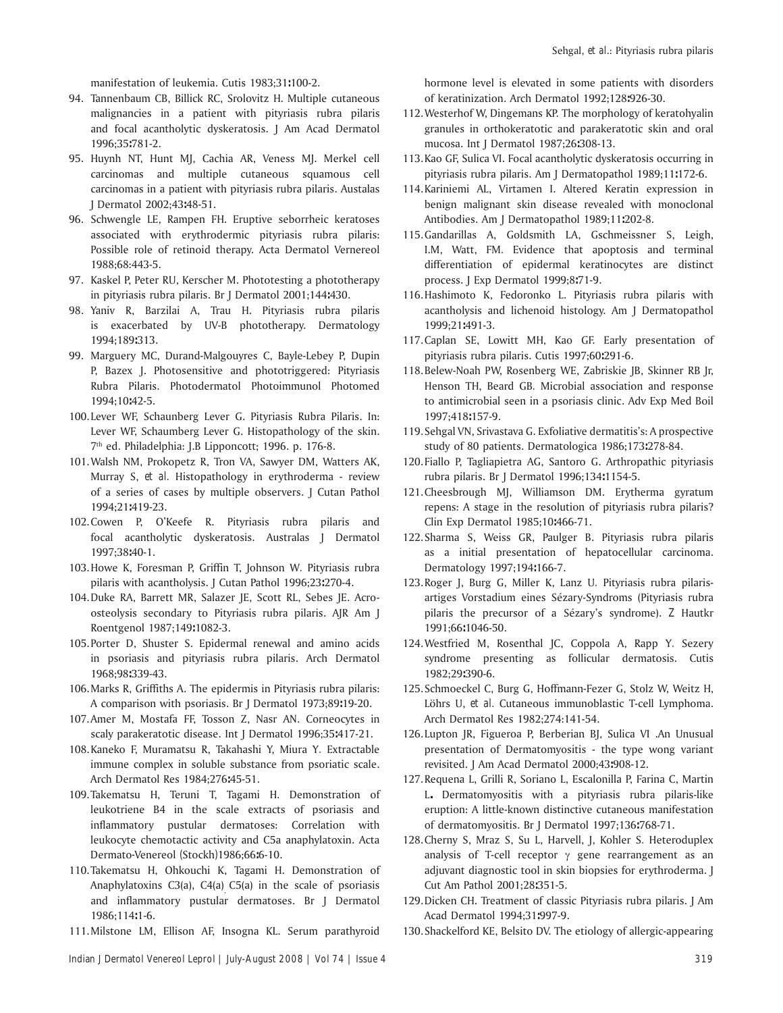manifestation of leukemia. Cutis 1983;31**:**100-2.

- 94. Tannenbaum CB, Billick RC, Srolovitz H. Multiple cutaneous malignancies in a patient with pityriasis rubra pilaris and focal acantholytic dyskeratosis. J Am Acad Dermatol 1996;35**:**781-2.
- 95. Huynh NT, Hunt MJ, Cachia AR, Veness MJ. Merkel cell carcinomas and multiple cutaneous squamous cell carcinomas in a patient with pityriasis rubra pilaris. Austalas J Dermatol 2002;43**:**48-51.
- 96. Schwengle LE, Rampen FH. Eruptive seborrheic keratoses associated with erythrodermic pityriasis rubra pilaris: Possible role of retinoid therapy. Acta Dermatol Vernereol 1988;68:443-5.
- 97. Kaskel P, Peter RU, Kerscher M. Phototesting a phototherapy in pityriasis rubra pilaris. Br J Dermatol 2001;144**:**430.
- 98. Yaniv R, Barzilai A, Trau H. Pityriasis rubra pilaris is exacerbated by UV-B phototherapy. Dermatology 1994;189**:**313.
- 99. Marguery MC, Durand-Malgouyres C, Bayle-Lebey P, Dupin P, Bazex J. Photosensitive and phototriggered: Pityriasis Rubra Pilaris. Photodermatol Photoimmunol Photomed 1994;10**:**42-5.
- 100. Lever WF, Schaunberg Lever G. Pityriasis Rubra Pilaris. In: Lever WF, Schaumberg Lever G. Histopathology of the skin. 7th ed. Philadelphia: J.B Lipponcott; 1996. p. 176-8.
- 101. Walsh NM, Prokopetz R, Tron VA, Sawyer DM, Watters AK, Murray S, *et al.* Histopathology in erythroderma - review of a series of cases by multiple observers. J Cutan Pathol 1994;21**:**419-23.
- 102. Cowen P, O'Keefe R. Pityriasis rubra pilaris and focal acantholytic dyskeratosis. Australas J Dermatol 1997;38**:**40-1.
- 103. Howe K, Foresman P, Griffin T, Johnson W*.* Pityriasis rubra pilaris with acantholysis. J Cutan Pathol 1996;23**:**270-4.
- 104. Duke RA, Barrett MR, Salazer JE, Scott RL, Sebes JE. Acroosteolysis secondary to Pityriasis rubra pilaris. AJR Am J Roentgenol 1987;149**:**1082-3.
- 105. Porter D, Shuster S. Epidermal renewal and amino acids in psoriasis and pityriasis rubra pilaris. Arch Dermatol 1968;98**:**339-43.
- 106. Marks R, Griffiths A. The epidermis in Pityriasis rubra pilaris: A comparison with psoriasis. Br J Dermatol 1973;89**:**19-20.
- 107. Amer M, Mostafa FF, Tosson Z, Nasr AN. Corneocytes in scaly parakeratotic disease. Int J Dermatol 1996;35**:**417-21.
- 108. Kaneko F, Muramatsu R, Takahashi Y, Miura Y*.* Extractable immune complex in soluble substance from psoriatic scale. Arch Dermatol Res 1984;276**:**45-51.
- 109. Takematsu H, Teruni T, Tagami H. Demonstration of leukotriene B4 in the scale extracts of psoriasis and inflammatory pustular dermatoses: Correlation with leukocyte chemotactic activity and C5a anaphylatoxin. Acta Dermato*-*Venereol *(*Stockh*)*1986;66**:**6-10.
- 110. Takematsu H, Ohkouchi K, Tagami H. Demonstration of Anaphylatoxins  $C3(a)$ ,  $C4(a)$   $C5(a)$  in the scale of psoriasis and inflammatory pustular dermatoses. Br J Dermatol 1986;114**:**1-6.
- 111. Milstone LM, Ellison AF, Insogna KL. Serum parathyroid

hormone level is elevated in some patients with disorders of keratinization. Arch Dermatol 1992;128**:**926-30.

- 112. Westerhof W, Dingemans KP. The morphology of keratohyalin granules in orthokeratotic and parakeratotic skin and oral mucosa. Int J Dermatol 1987;26**:**308-13.
- 113. Kao GF, Sulica VI. Focal acantholytic dyskeratosis occurring in pityriasis rubra pilaris. Am J Dermatopathol 1989;11**:**172-6.
- 114. Kariniemi AL, Virtamen I. Altered Keratin expression in benign malignant skin disease revealed with monoclonal Antibodies. Am J Dermatopathol 1989;11**:**202-8.
- 115. Gandarillas A, Goldsmith LA, Gschmeissner S, Leigh, I.M, Watt, FM*.* Evidence that apoptosis and terminal differentiation of epidermal keratinocytes are distinct process. J Exp Dermatol 1999;8**:**71-9.
- 116. Hashimoto K, Fedoronko L. Pityriasis rubra pilaris with acantholysis and lichenoid histology. Am J Dermatopathol 1999;21**:**491-3.
- 117. Caplan SE, Lowitt MH, Kao GF. Early presentation of pityriasis rubra pilaris. Cutis 1997;60**:**291-6.
- 118. Belew-Noah PW, Rosenberg WE, Zabriskie JB, Skinner RB Jr, Henson TH, Beard GB*.* Microbial association and response to antimicrobial seen in a psoriasis clinic. Adv Exp Med Boil 1997;418**:**157-9.
- 119. Sehgal VN, Srivastava G. Exfoliative dermatitis's: A prospective study of 80 patients. Dermatologica 1986;173**:**278-84.
- 120. Fiallo P, Tagliapietra AG, Santoro G. Arthropathic pityriasis rubra pilaris. Br J Dermatol 1996;134**:**1154-5.
- 121. Cheesbrough MJ, Williamson DM. Erytherma gyratum repens: A stage in the resolution of pityriasis rubra pilaris? Clin Exp Dermatol 1985;10**:**466-71.
- 122. Sharma S, Weiss GR, Paulger B. Pityriasis rubra pilaris as a initial presentation of hepatocellular carcinoma. Dermatology 1997;194**:**166-7.
- 123. Roger J, Burg G, Miller K, Lanz U*.* Pityriasis rubra pilarisartiges Vorstadium eines SÈzary-Syndroms (Pityriasis rubra pilaris the precursor of a SÈzaryís syndrome). *Z* Hautkr 1991;66**:**1046-50.
- 124. Westfried M, Rosenthal JC, Coppola A, Rapp Y*.* Sezery syndrome presenting as follicular dermatosis. Cutis 1982;29**:**390-6.
- 125. Schmoeckel C, Burg G, Hoffmann-Fezer G, Stolz W, Weitz H, Löhrs U, et al. Cutaneous immunoblastic T-cell Lymphoma. Arch Dermatol Res 1982;274:141-54.
- 126. Lupton JR, Figueroa P, Berberian BJ, Sulica VI .An Unusual presentation of Dermatomyositis - the type wong variant revisited. J Am Acad Dermatol 2000;43**:**908-12.
- 127. Requena L, Grilli R, Soriano L, Escalonilla P, Farina C, Martin L*.* Dermatomyositis with a pityriasis rubra pilaris-like eruption: A little-known distinctive cutaneous manifestation of dermatomyositis. Br J Dermatol 1997;136**:**768-71.
- 128. Cherny S, Mraz S, Su L, Harvell, J, Kohler S*.* Heteroduplex analysis of T-cell receptor γ gene rearrangement as an adjuvant diagnostic tool in skin biopsies for erythroderma. J Cut Am Pathol 2001;28**:**351-5.
- 129. Dicken CH. Treatment of classic Pityriasis rubra pilaris. J Am Acad Dermatol 1994;31**:**997-9.
- 130. Shackelford KE, Belsito DV. The etiology of allergic-appearing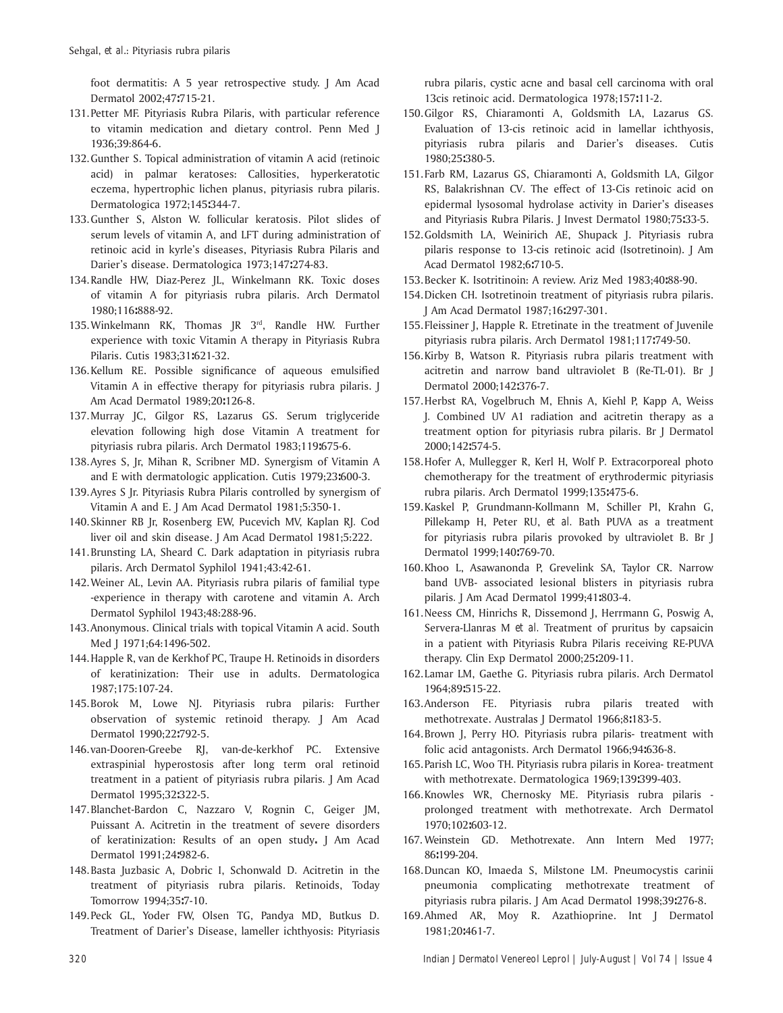foot dermatitis: A 5 year retrospective study. J Am Acad Dermatol 2002;47**:**715-21.

- 131. Petter MF. Pityriasis Rubra Pilaris, with particular reference to vitamin medication and dietary control. Penn Med J 1936;39:864-6.
- 132. Gunther S. Topical administration of vitamin A acid (retinoic acid) in palmar keratoses: Callosities, hyperkeratotic eczema, hypertrophic lichen planus, pityriasis rubra pilaris. Dermatologica 1972;145**:**344-7.
- 133. Gunther S, Alston W. follicular keratosis. Pilot slides of serum levels of vitamin A, and LFT during administration of retinoic acid in kyrle's diseases, Pityriasis Rubra Pilaris and Darierís disease. Dermatologica 1973;147**:**274-83.
- 134. Randle HW, Diaz-Perez JL, Winkelmann RK. Toxic doses of vitamin A for pityriasis rubra pilaris. Arch Dermatol 1980;116**:**888-92.
- 135. Winkelmann RK, Thomas JR 3rd, Randle HW. Further experience with toxic Vitamin A therapy in Pityriasis Rubra Pilaris. Cutis 1983;31**:**621-32.
- 136. Kellum RE. Possible significance of aqueous emulsified Vitamin A in effective therapy for pityriasis rubra pilaris. J Am Acad Dermatol 1989;20**:**126-8.
- 137. Murray JC, Gilgor RS, Lazarus GS. Serum triglyceride elevation following high dose Vitamin A treatment for pityriasis rubra pilaris. Arch Dermatol 1983;119**:**675-6.
- 138. Ayres S, Jr, Mihan R, Scribner MD. Synergism of Vitamin A and E with dermatologic application. Cutis 1979;23**:**600-3.
- 139. Ayres S Jr. Pityriasis Rubra Pilaris controlled by synergism of Vitamin A and E. J Am Acad Dermatol 1981;5:350-1.
- 140. Skinner RB Jr, Rosenberg EW, Pucevich MV, Kaplan RJ*.* Cod liver oil and skin disease. J Am Acad Dermatol 1981;5:222.
- 141. Brunsting LA, Sheard C. Dark adaptation in pityriasis rubra pilaris. Arch Dermatol Syphilol 1941;43:42-61.
- 142. Weiner AL, Levin AA. Pityriasis rubra pilaris of familial type -experience in therapy with carotene and vitamin A. Arch Dermatol Syphilol 1943;48:288-96.
- 143. Anonymous. Clinical trials with topical Vitamin A acid. South Med J 1971;64:1496-502.
- 144. Happle R, van de Kerkhof PC, Traupe H. Retinoids in disorders of keratinization: Their use in adults. Dermatologica 1987;175:107-24.
- 145. Borok M, Lowe NJ. Pityriasis rubra pilaris: Further observation of systemic retinoid therapy. J Am Acad Dermatol 1990;22**:**792-5.
- 146. van-Dooren-Greebe RJ, van-de-kerkhof PC. Extensive extraspinial hyperostosis after long term oral retinoid treatment in a patient of pityriasis rubra pilaris*.* J Am Acad Dermatol 1995;32**:**322-5.
- 147. Blanchet-Bardon C, Nazzaro V, Rognin C, Geiger JM, Puissant A. Acitretin in the treatment of severe disorders of keratinization: Results of an open study**.** J Am Acad Dermatol 1991;24**:**982-6.
- 148. Basta Juzbasic A, Dobric I, Schonwald D*.* Acitretin in the treatment of pityriasis rubra pilaris. Retinoids, Today Tomorrow 1994;35**:**7-10.
- 149. Peck GL, Yoder FW, Olsen TG, Pandya MD, Butkus D*.*  Treatment of Darier's Disease, lameller ichthyosis: Pityriasis

rubra pilaris, cystic acne and basal cell carcinoma with oral 13cis retinoic acid. Dermatologica 1978;157**:**11-2.

- 150. Gilgor RS, Chiaramonti A, Goldsmith LA, Lazarus GS*.*  Evaluation of 13-cis retinoic acid in lamellar ichthyosis, pityriasis rubra pilaris and Darier's diseases. Cutis 1980;25**:**380-5.
- 151. Farb RM, Lazarus GS, Chiaramonti A, Goldsmith LA, Gilgor RS, Balakrishnan CV*.* The effect of 13-Cis retinoic acid on epidermal lysosomal hydrolase activity in Darier's diseases and Pityriasis Rubra Pilaris. J Invest Dermatol 1980;75**:**33-5.
- 152. Goldsmith LA, Weinirich AE, Shupack J. Pityriasis rubra pilaris response to 13-cis retinoic acid (Isotretinoin). J Am Acad Dermatol 1982;6**:**710-5.
- 153. Becker K. Isotritinoin: A review. Ariz Med 1983;40**:**88-90.
- 154. Dicken CH. Isotretinoin treatment of pityriasis rubra pilaris. J Am Acad Dermatol 1987;16**:**297-301.
- 155. Fleissiner J, Happle R. Etretinate in the treatment of Juvenile pityriasis rubra pilaris. Arch Dermatol 1981;117**:**749-50.
- 156. Kirby B, Watson R. Pityriasis rubra pilaris treatment with acitretin and narrow band ultraviolet B (Re-TL-01). Br J Dermatol 2000;142**:**376-7.
- 157. Herbst RA, Vogelbruch M, Ehnis A, Kiehl P, Kapp A, Weiss J*.* Combined UV A1 radiation and acitretin therapy as a treatment option for pityriasis rubra pilaris. Br J Dermatol 2000;142**:**574-5.
- 158. Hofer A, Mullegger R, Kerl H, Wolf P*.* Extracorporeal photo chemotherapy for the treatment of erythrodermic pityriasis rubra pilaris. Arch Dermatol 1999;135**:**475-6.
- 159. Kaskel P, Grundmann-Kollmann M, Schiller PI, Krahn G, Pillekamp H, Peter RU, *et al.* Bath PUVA as a treatment for pityriasis rubra pilaris provoked by ultraviolet B. Br J Dermatol 1999;140**:**769-70.
- 160. Khoo L, Asawanonda P, Grevelink SA, Taylor CR. Narrow band UVB- associated lesional blisters in pityriasis rubra pilaris*.* J Am Acad Dermatol 1999;41**:**803-4.
- 161. Neess CM, Hinrichs R, Dissemond J, Herrmann G, Poswig A, Servera-Llanras M *et al.* Treatment of pruritus by capsaicin in a patient with Pityriasis Rubra Pilaris receiving RE-PUVA therapy. Clin Exp Dermatol 2000;25**:**209-11.
- 162. Lamar LM, Gaethe G. Pityriasis rubra pilaris. Arch Dermatol 1964;89**:**515-22.
- 163. Anderson FE. Pityriasis rubra pilaris treated with methotrexate. Australas J Dermatol 1966;8**:**183-5.
- 164. Brown J, Perry HO. Pityriasis rubra pilaris- treatment with folic acid antagonists. Arch Dermatol 1966;94**:**636-8.
- 165. Parish LC, Woo TH. Pityriasis rubra pilaris in Korea- treatment with methotrexate. Dermatologica 1969;139**:**399-403.
- 166. Knowles WR, Chernosky ME. Pityriasis rubra pilaris prolonged treatment with methotrexate. Arch Dermatol 1970;102**:**603-12.
- 167. Weinstein GD. Methotrexate. Ann Intern Med 1977; 86**:**199-204.
- 168. Duncan KO, Imaeda S, Milstone LM. Pneumocystis carinii pneumonia complicating methotrexate treatment of pityriasis rubra pilaris. J Am Acad Dermatol 1998;39**:**276-8.
- 169. Ahmed AR, Moy R. Azathioprine. Int J Dermatol 1981;20**:**461-7.